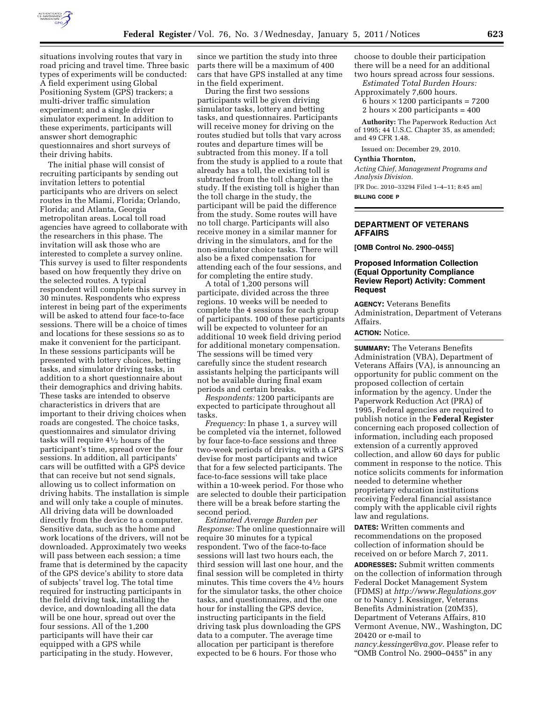

situations involving routes that vary in road pricing and travel time. Three basic types of experiments will be conducted: A field experiment using Global Positioning System (GPS) trackers; a multi-driver traffic simulation experiment; and a single driver simulator experiment. In addition to these experiments, participants will answer short demographic questionnaires and short surveys of their driving habits.

The initial phase will consist of recruiting participants by sending out invitation letters to potential participants who are drivers on select routes in the Miami, Florida; Orlando, Florida; and Atlanta, Georgia metropolitan areas. Local toll road agencies have agreed to collaborate with the researchers in this phase. The invitation will ask those who are interested to complete a survey online. This survey is used to filter respondents based on how frequently they drive on the selected routes. A typical respondent will complete this survey in 30 minutes. Respondents who express interest in being part of the experiments will be asked to attend four face-to-face sessions. There will be a choice of times and locations for these sessions so as to make it convenient for the participant. In these sessions participants will be presented with lottery choices, betting tasks, and simulator driving tasks, in addition to a short questionnaire about their demographics and driving habits. These tasks are intended to observe characteristics in drivers that are important to their driving choices when roads are congested. The choice tasks, questionnaires and simulator driving tasks will require 41⁄2 hours of the participant's time, spread over the four sessions. In addition, all participants' cars will be outfitted with a GPS device that can receive but not send signals, allowing us to collect information on driving habits. The installation is simple and will only take a couple of minutes. All driving data will be downloaded directly from the device to a computer. Sensitive data, such as the home and work locations of the drivers, will not be downloaded. Approximately two weeks will pass between each session; a time frame that is determined by the capacity of the GPS device's ability to store data of subjects' travel log. The total time required for instructing participants in the field driving task, installing the device, and downloading all the data will be one hour, spread out over the four sessions. All of the 1,200 participants will have their car equipped with a GPS while participating in the study. However,

since we partition the study into three parts there will be a maximum of 400 cars that have GPS installed at any time in the field experiment.

During the first two sessions participants will be given driving simulator tasks, lottery and betting tasks, and questionnaires. Participants will receive money for driving on the routes studied but tolls that vary across routes and departure times will be subtracted from this money. If a toll from the study is applied to a route that already has a toll, the existing toll is subtracted from the toll charge in the study. If the existing toll is higher than the toll charge in the study, the participant will be paid the difference from the study. Some routes will have no toll charge. Participants will also receive money in a similar manner for driving in the simulators, and for the non-simulator choice tasks. There will also be a fixed compensation for attending each of the four sessions, and for completing the entire study.

A total of 1,200 persons will participate, divided across the three regions. 10 weeks will be needed to complete the 4 sessions for each group of participants. 100 of these participants will be expected to volunteer for an additional 10 week field driving period for additional monetary compensation. The sessions will be timed very carefully since the student research assistants helping the participants will not be available during final exam periods and certain breaks.

*Respondents:* 1200 participants are expected to participate throughout all tasks.

*Frequency:* In phase 1, a survey will be completed via the internet, followed by four face-to-face sessions and three two-week periods of driving with a GPS devise for most participants and twice that for a few selected participants. The face-to-face sessions will take place within a 10-week period. For those who are selected to double their participation there will be a break before starting the second period.

*Estimated Average Burden per Response:* The online questionnaire will require 30 minutes for a typical respondent. Two of the face-to-face sessions will last two hours each, the third session will last one hour, and the final session will be completed in thirty minutes. This time covers the 41⁄2 hours for the simulator tasks, the other choice tasks, and questionnaires, and the one hour for installing the GPS device, instructing participants in the field driving task plus downloading the GPS data to a computer. The average time allocation per participant is therefore expected to be 6 hours. For those who

choose to double their participation there will be a need for an additional two hours spread across four sessions.

*Estimated Total Burden Hours:*  Approximately 7,600 hours. 6 hours  $\times$  1200 participants = 7200

2 hours  $\times$  200 participants = 400

**Authority:** The Paperwork Reduction Act of 1995; 44 U.S.C. Chapter 35, as amended; and 49 CFR 1.48.

Issued on: December 29, 2010.

# **Cynthia Thornton,**

*Acting Chief, Management Programs and Analysis Division.* 

[FR Doc. 2010–33294 Filed 1–4–11; 8:45 am]

**BILLING CODE P** 

## **DEPARTMENT OF VETERANS AFFAIRS**

**[OMB Control No. 2900–0455]** 

# **Proposed Information Collection (Equal Opportunity Compliance Review Report) Activity: Comment Request**

**AGENCY:** Veterans Benefits Administration, Department of Veterans Affairs.

## **ACTION:** Notice.

**SUMMARY:** The Veterans Benefits Administration (VBA), Department of Veterans Affairs (VA), is announcing an opportunity for public comment on the proposed collection of certain information by the agency. Under the Paperwork Reduction Act (PRA) of 1995, Federal agencies are required to publish notice in the **Federal Register**  concerning each proposed collection of information, including each proposed extension of a currently approved collection, and allow 60 days for public comment in response to the notice. This notice solicits comments for information needed to determine whether proprietary education institutions receiving Federal financial assistance comply with the applicable civil rights law and regulations.

**DATES:** Written comments and recommendations on the proposed collection of information should be received on or before March 7, 2011.

**ADDRESSES:** Submit written comments on the collection of information through Federal Docket Management System (FDMS) at *<http://www.Regulations.gov>*  or to Nancy J. Kessinger, Veterans Benefits Administration (20M35), Department of Veterans Affairs, 810 Vermont Avenue, NW., Washington, DC 20420 or e-mail to

*[nancy.kessinger@va.gov](mailto:nancy.kessinger@va.gov)*. Please refer to ''OMB Control No. 2900–0455'' in any